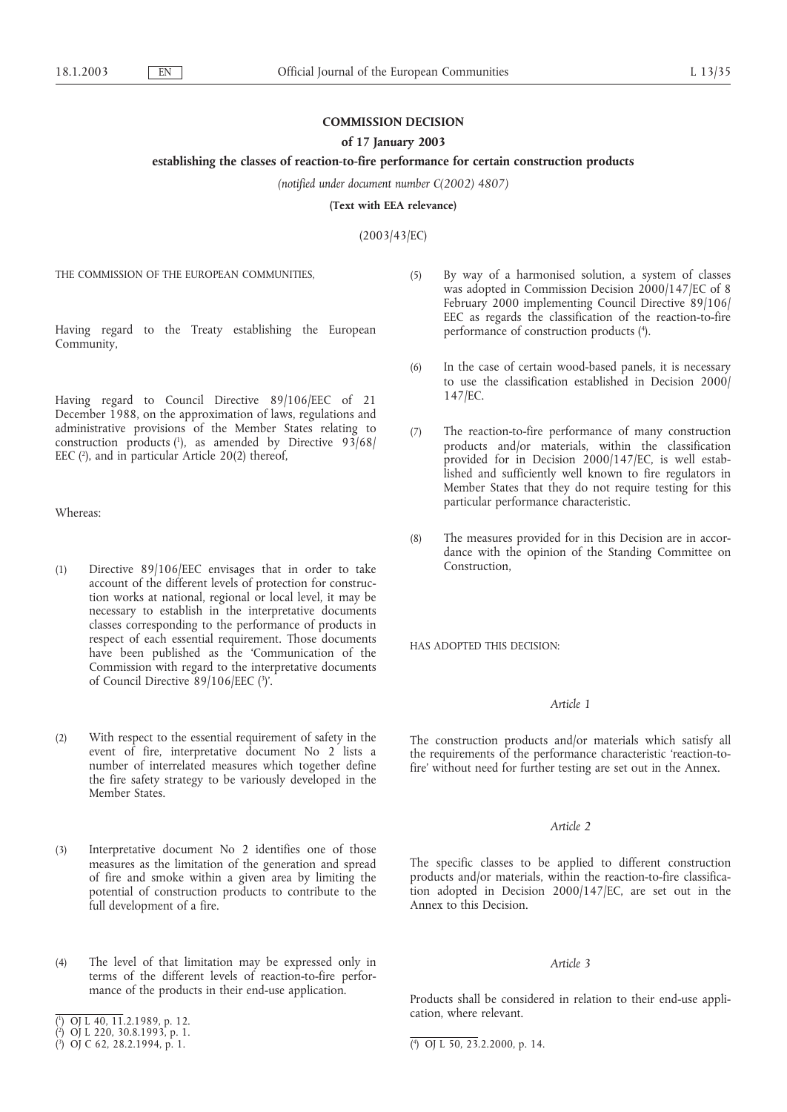# **COMMISSION DECISION**

## **of 17 January 2003**

### **establishing the classes of reaction-to-fire performance for certain construction products**

*(notified under document number C(2002) 4807)*

**(Text with EEA relevance)**

(2003/43/EC)

THE COMMISSION OF THE EUROPEAN COMMUNITIES,

Having regard to the Treaty establishing the European Community,

Having regard to Council Directive 89/106/EEC of 21 December 1988, on the approximation of laws, regulations and administrative provisions of the Member States relating to construction products  $(1)$ , as amended by Directive 93/68/ EEC  $(2)$ , and in particular Article 20(2) thereof,

Whereas:

- (1) Directive 89/106/EEC envisages that in order to take account of the different levels of protection for construction works at national, regional or local level, it may be necessary to establish in the interpretative documents classes corresponding to the performance of products in respect of each essential requirement. Those documents have been published as the 'Communication of the Commission with regard to the interpretative documents of Council Directive 89/106/EEC (3)'.
- (2) With respect to the essential requirement of safety in the event of fire, interpretative document No 2 lists a number of interrelated measures which together define the fire safety strategy to be variously developed in the Member States.
- (3) Interpretative document No 2 identifies one of those measures as the limitation of the generation and spread of fire and smoke within a given area by limiting the potential of construction products to contribute to the full development of a fire.
- (4) The level of that limitation may be expressed only in terms of the different levels of reaction-to-fire performance of the products in their end-use application.
- (5) By way of a harmonised solution, a system of classes was adopted in Commission Decision 2000/147/EC of 8 February 2000 implementing Council Directive 89/106/ EEC as regards the classification of the reaction-to-fire performance of construction products (4).
- (6) In the case of certain wood-based panels, it is necessary to use the classification established in Decision 2000/ 147/EC.
- (7) The reaction-to-fire performance of many construction products and/or materials, within the classification provided for in Decision 2000/147/EC, is well established and sufficiently well known to fire regulators in Member States that they do not require testing for this particular performance characteristic.
- (8) The measures provided for in this Decision are in accordance with the opinion of the Standing Committee on Construction,

HAS ADOPTED THIS DECISION:

## *Article 1*

The construction products and/or materials which satisfy all the requirements of the performance characteristic 'reaction-tofire' without need for further testing are set out in the Annex.

### *Article 2*

The specific classes to be applied to different construction products and/or materials, within the reaction-to-fire classification adopted in Decision 2000/147/EC, are set out in the Annex to this Decision.

### *Article 3*

Products shall be considered in relation to their end-use application, where relevant.

<sup>(</sup> 1 ) OJ L 40, 11.2.1989, p. 12.

<sup>(</sup> 2 ) OJ L 220, 30.8.1993, p. 1.

 $(3)$  OJ C 62, 28.2.1994, p. 1.

<sup>4</sup> ) OJ L 50, 23.2.2000, p. 14.